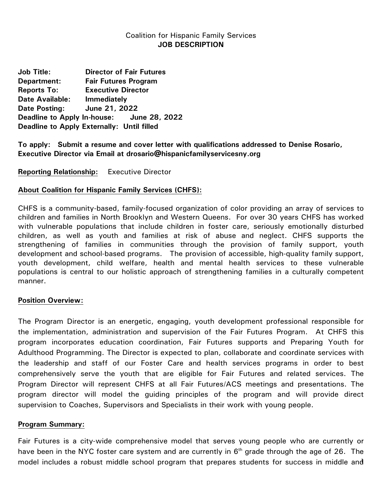### Coalition for Hispanic Family Services **JOB DESCRIPTION**

**Job Title: Director of Fair Futures Department: Fair Futures Program Reports To: Executive Director Date Available: Immediately Date Posting: June 21, 2022 Deadline to Apply In-house: June 28, 2022 Deadline to Apply Externally: Until filled**

**To apply: Submit a resume and cover letter with qualifications addressed to Denise Rosario, Executive Director via Email at drosario@hispanicfamilyservicesny.org**

**Reporting Relationship:** Executive Director

#### **About Coalition for Hispanic Family Services (CHFS):**

CHFS is a community-based, family-focused organization of color providing an array of services to children and families in North Brooklyn and Western Queens. For over 30 years CHFS has worked with vulnerable populations that include children in foster care, seriously emotionally disturbed children, as well as youth and families at risk of abuse and neglect. CHFS supports the strengthening of families in communities through the provision of family support, youth development and school-based programs. The provision of accessible, high-quality family support, youth development, child welfare, health and mental health services to these vulnerable populations is central to our holistic approach of strengthening families in a culturally competent manner.

#### **Position Overview:**

The Program Director is an energetic, engaging, youth development professional responsible for the implementation, administration and supervision of the Fair Futures Program. At CHFS this program incorporates education coordination, Fair Futures supports and Preparing Youth for Adulthood Programming. The Director is expected to plan, collaborate and coordinate services with the leadership and staff of our Foster Care and health services programs in order to best comprehensively serve the youth that are eligible for Fair Futures and related services. The Program Director will represent CHFS at all Fair Futures/ACS meetings and presentations. The program director will model the guiding principles of the program and will provide direct supervision to Coaches, Supervisors and Specialists in their work with young people.

### **Program Summary:**

1 model includes a robust middle school program that prepares students for success in middle and Fair Futures is a city-wide comprehensive model that serves young people who are currently or have been in the NYC foster care system and are currently in  $6<sup>th</sup>$  grade through the age of 26. The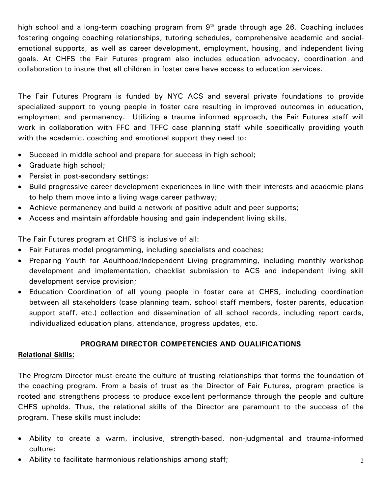high school and a long-term coaching program from  $9<sup>th</sup>$  grade through age 26. Coaching includes fostering ongoing coaching relationships, tutoring schedules, comprehensive academic and socialemotional supports, as well as career development, employment, housing, and independent living goals. At CHFS the Fair Futures program also includes education advocacy, coordination and collaboration to insure that all children in foster care have access to education services.

The Fair Futures Program is funded by NYC ACS and several private foundations to provide specialized support to young people in foster care resulting in improved outcomes in education, employment and permanency. Utilizing a trauma informed approach, the Fair Futures staff will work in collaboration with FFC and TFFC case planning staff while specifically providing youth with the academic, coaching and emotional support they need to:

- Succeed in middle school and prepare for success in high school;
- Graduate high school;
- Persist in post-secondary settings;
- Build progressive career development experiences in line with their interests and academic plans to help them move into a living wage career pathway;
- Achieve permanency and build a network of positive adult and peer supports;
- Access and maintain affordable housing and gain independent living skills.

The Fair Futures program at CHFS is inclusive of all:

- Fair Futures model programming, including specialists and coaches;
- Preparing Youth for Adulthood/Independent Living programming, including monthly workshop development and implementation, checklist submission to ACS and independent living skill development service provision;
- Education Coordination of all young people in foster care at CHFS, including coordination between all stakeholders (case planning team, school staff members, foster parents, education support staff, etc.) collection and dissemination of all school records, including report cards, individualized education plans, attendance, progress updates, etc.

### **PROGRAM DIRECTOR COMPETENCIES AND QUALIFICATIONS**

### **Relational Skills:**

The Program Director must create the culture of trusting relationships that forms the foundation of the coaching program. From a basis of trust as the Director of Fair Futures, program practice is rooted and strengthens process to produce excellent performance through the people and culture CHFS upholds. Thus, the relational skills of the Director are paramount to the success of the program. These skills must include:

- Ability to create a warm, inclusive, strength-based, non-judgmental and trauma-informed culture;
- Ability to facilitate harmonious relationships among staff;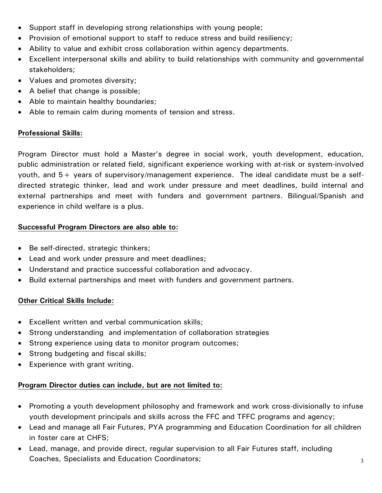- Support staff in developing strong relationships with young people;
- Provision of emotional support to staff to reduce stress and build resiliency;
- Ability to value and exhibit cross collaboration within agency departments.
- Excellent interpersonal skills and ability to build relationships with community and governmental stakeholders;
- Values and promotes diversity;
- A belief that change is possible;
- Able to maintain healthy boundaries;
- Able to remain calm during moments of tension and stress.

# **Professional Skills:**

Program Director must hold a Master's degree in social work, youth development, education, public administration or related field, significant experience working with at-risk or system-involved youth, and 5+ years of supervisory/management experience. The ideal candidate must be a selfdirected strategic thinker, lead and work under pressure and meet deadlines, build internal and external partnerships and meet with funders and government partners. Bilingual/Spanish and experience in child welfare is a plus.

# **Successful Program Directors are also able to:**

- Be self-directed, strategic thinkers;
- Lead and work under pressure and meet deadlines;
- Understand and practice successful collaboration and advocacy.
- Build external partnerships and meet with funders and government partners.

# **Other Critical Skills Include:**

- Excellent written and verbal communication skills;
- Strong understanding and implementation of collaboration strategies
- Strong experience using data to monitor program outcomes;
- Strong budgeting and fiscal skills;
- Experience with grant writing.

# **Program Director duties can include, but are not limited to:**

- Promoting a youth development philosophy and framework and work cross-divisionally to infuse youth development principals and skills across the FFC and TFFC programs and agency;
- Lead and manage all Fair Futures, PYA programming and Education Coordination for all children in foster care at CHFS;
- Lead, manage, and provide direct, regular supervision to all Fair Futures staff, including Coaches, Specialists and Education Coordinators;